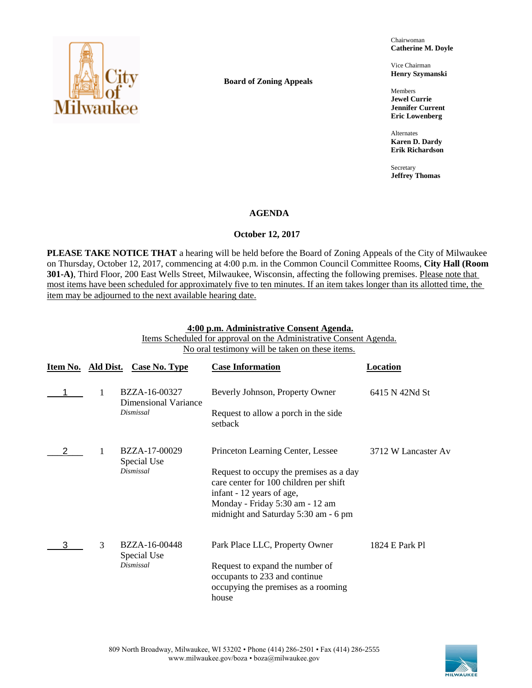

**Board of Zoning Appeals**

Chairwoman **Catherine M. Doyle**

Vice Chairman **Henry Szymanski**

Members **Jewel Currie Jennifer Current Eric Lowenberg**

Alternates **Karen D. Dardy Erik Richardson**

Secretary **Jeffrey Thomas**

## **AGENDA**

## **October 12, 2017**

**PLEASE TAKE NOTICE THAT** a hearing will be held before the Board of Zoning Appeals of the City of Milwaukee on Thursday, October 12, 2017, commencing at 4:00 p.m. in the Common Council Committee Rooms, **City Hall (Room 301-A)**, Third Floor, 200 East Wells Street, Milwaukee, Wisconsin, affecting the following premises. Please note that most items have been scheduled for approximately five to ten minutes. If an item takes longer than its allotted time, the item may be adjourned to the next available hearing date.

## **4:00 p.m. Administrative Consent Agenda.**

Items Scheduled for approval on the Administrative Consent Agenda. No oral testimony will be taken on these items.

| Item No. Ald Dist. |   | Case No. Type                         | <b>Case Information</b>                                                                                          | Location            |
|--------------------|---|---------------------------------------|------------------------------------------------------------------------------------------------------------------|---------------------|
|                    |   | BZZA-16-00327<br>Dimensional Variance | Beverly Johnson, Property Owner                                                                                  | 6415 N 42Nd St      |
|                    |   | Dismissal                             | Request to allow a porch in the side.<br>setback                                                                 |                     |
|                    |   | BZZA-17-00029<br>Special Use          | Princeton Learning Center, Lessee                                                                                | 3712 W Lancaster Av |
|                    |   | Dismissal                             | Request to occupy the premises as a day<br>care center for 100 children per shift<br>infant - 12 years of age,   |                     |
|                    |   |                                       | Monday - Friday 5:30 am - 12 am<br>midnight and Saturday 5:30 am - 6 pm                                          |                     |
|                    | 3 | BZZA-16-00448<br>Special Use          | Park Place LLC, Property Owner                                                                                   | 1824 E Park Pl      |
|                    |   | Dismissal                             | Request to expand the number of<br>occupants to 233 and continue<br>occupying the premises as a rooming<br>house |                     |

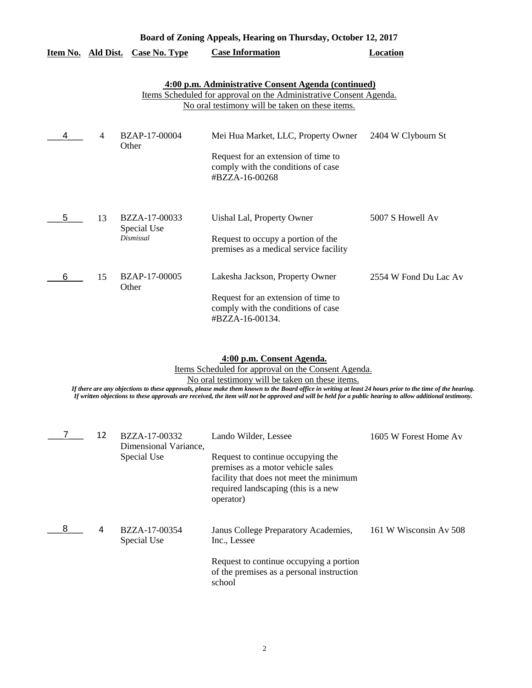|                           | Board of Zoning Appeals, Hearing on Thursday, October 12, 2017 |                                           |                                                                                                                                                                              |                       |  |  |
|---------------------------|----------------------------------------------------------------|-------------------------------------------|------------------------------------------------------------------------------------------------------------------------------------------------------------------------------|-----------------------|--|--|
| <u>Item No. Ald Dist.</u> |                                                                | <b>Case No. Type</b>                      | <b>Case Information</b>                                                                                                                                                      | <b>Location</b>       |  |  |
|                           |                                                                |                                           | 4:00 p.m. Administrative Consent Agenda (continued)<br>Items Scheduled for approval on the Administrative Consent Agenda.<br>No oral testimony will be taken on these items. |                       |  |  |
|                           | $\overline{4}$                                                 | BZAP-17-00004<br>Other                    | Mei Hua Market, LLC, Property Owner<br>Request for an extension of time to<br>comply with the conditions of case<br>#BZZA-16-00268                                           | 2404 W Clybourn St    |  |  |
| 5                         | 13                                                             | BZZA-17-00033<br>Special Use<br>Dismissal | Uishal Lal, Property Owner<br>Request to occupy a portion of the<br>premises as a medical service facility                                                                   | 5007 S Howell Av      |  |  |
| 6                         | 15                                                             | BZAP-17-00005<br>Other                    | Lakesha Jackson, Property Owner<br>Request for an extension of time to<br>comply with the conditions of case<br>#BZZA-16-00134.                                              | 2554 W Fond Du Lac Av |  |  |

#### **4:00 p.m. Consent Agenda.**

Items Scheduled for approval on the Consent Agenda.

No oral testimony will be taken on these items.

|   | 12 | BZZA-17-00332<br>Dimensional Variance, | Lando Wilder, Lessee                                                                                                                                                  | 1605 W Forest Home Av  |
|---|----|----------------------------------------|-----------------------------------------------------------------------------------------------------------------------------------------------------------------------|------------------------|
|   |    | Special Use                            | Request to continue occupying the<br>premises as a motor vehicle sales<br>facility that does not meet the minimum<br>required landscaping (this is a new<br>operator) |                        |
| 8 | 4  | BZZA-17-00354<br>Special Use           | Janus College Preparatory Academies,<br>Inc., Lessee                                                                                                                  | 161 W Wisconsin Av 508 |
|   |    |                                        | Request to continue occupying a portion<br>of the premises as a personal instruction<br>school                                                                        |                        |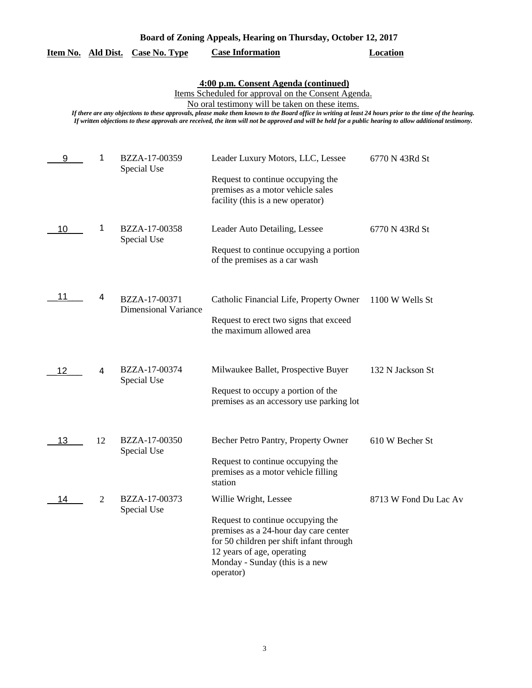|  |  | Board of Zoning Appeals, Hearing on Thursday, October 12, 2017 |  |
|--|--|----------------------------------------------------------------|--|
|  |  |                                                                |  |

|  |  | Item No. Ald Dist. Case No. Type | <b>Case Information</b> | <b>Location</b> |
|--|--|----------------------------------|-------------------------|-----------------|
|--|--|----------------------------------|-------------------------|-----------------|

## **4:00 p.m. Consent Agenda (continued)**

Items Scheduled for approval on the Consent Agenda.

No oral testimony will be taken on these items.

| 9  | 1  | BZZA-17-00359<br>Special Use | Leader Luxury Motors, LLC, Lessee                                                                           | 6770 N 43Rd St        |
|----|----|------------------------------|-------------------------------------------------------------------------------------------------------------|-----------------------|
|    |    |                              | Request to continue occupying the<br>premises as a motor vehicle sales<br>facility (this is a new operator) |                       |
| 10 | 1  | BZZA-17-00358<br>Special Use | Leader Auto Detailing, Lessee                                                                               | 6770 N 43Rd St        |
|    |    |                              | Request to continue occupying a portion<br>of the premises as a car wash                                    |                       |
| 11 | 4  | BZZA-17-00371                | Catholic Financial Life, Property Owner                                                                     | 1100 W Wells St       |
|    |    | <b>Dimensional Variance</b>  | Request to erect two signs that exceed<br>the maximum allowed area                                          |                       |
| 12 | 4  | BZZA-17-00374                | Milwaukee Ballet, Prospective Buyer                                                                         | 132 N Jackson St      |
|    |    | Special Use                  | Request to occupy a portion of the<br>premises as an accessory use parking lot                              |                       |
| 13 | 12 | BZZA-17-00350<br>Special Use | Becher Petro Pantry, Property Owner                                                                         | 610 W Becher St       |
|    |    |                              | Request to continue occupying the<br>premises as a motor vehicle filling<br>station                         |                       |
| 14 | 2  | BZZA-17-00373<br>Special Use | Willie Wright, Lessee                                                                                       | 8713 W Fond Du Lac Av |
|    |    |                              | Request to continue occupying the<br>premises as a 24-hour day care center                                  |                       |
|    |    |                              | for 50 children per shift infant through<br>12 years of age, operating                                      |                       |
|    |    |                              | Monday - Sunday (this is a new<br>operator)                                                                 |                       |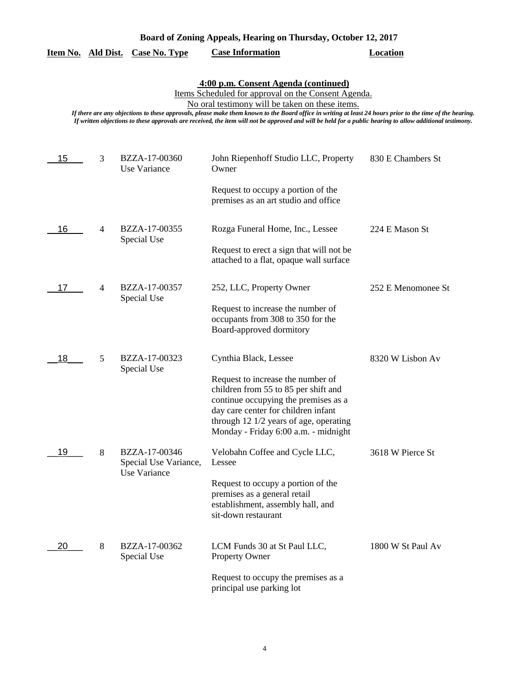| Board of Zoning Appeals, Hearing on Thursday, October 12, 2017 |  |  |  |
|----------------------------------------------------------------|--|--|--|
|                                                                |  |  |  |

|  |  | Item No. Ald Dist. Case No. Type | <b>Case Information</b> | Location |
|--|--|----------------------------------|-------------------------|----------|
|--|--|----------------------------------|-------------------------|----------|

### **4:00 p.m. Consent Agenda (continued)**

Items Scheduled for approval on the Consent Agenda.

No oral testimony will be taken on these items.

| 15 | 3 | BZZA-17-00360<br>Use Variance          | John Riepenhoff Studio LLC, Property<br>Owner                                                                                                                                                                                              | 830 E Chambers St  |
|----|---|----------------------------------------|--------------------------------------------------------------------------------------------------------------------------------------------------------------------------------------------------------------------------------------------|--------------------|
|    |   |                                        | Request to occupy a portion of the<br>premises as an art studio and office                                                                                                                                                                 |                    |
| 16 | 4 | BZZA-17-00355<br>Special Use           | Rozga Funeral Home, Inc., Lessee                                                                                                                                                                                                           | 224 E Mason St     |
|    |   |                                        | Request to erect a sign that will not be<br>attached to a flat, opaque wall surface                                                                                                                                                        |                    |
| 17 | 4 | BZZA-17-00357<br>Special Use           | 252, LLC, Property Owner                                                                                                                                                                                                                   | 252 E Menomonee St |
|    |   |                                        | Request to increase the number of<br>occupants from 308 to 350 for the<br>Board-approved dormitory                                                                                                                                         |                    |
| 18 | 5 | BZZA-17-00323<br>Special Use           | Cynthia Black, Lessee                                                                                                                                                                                                                      | 8320 W Lisbon Av   |
|    |   |                                        | Request to increase the number of<br>children from 55 to 85 per shift and<br>continue occupying the premises as a<br>day care center for children infant<br>through 12 1/2 years of age, operating<br>Monday - Friday 6:00 a.m. - midnight |                    |
| 19 | 8 | BZZA-17-00346<br>Special Use Variance, | Velobahn Coffee and Cycle LLC,<br>Lessee                                                                                                                                                                                                   | 3618 W Pierce St   |
|    |   | Use Variance                           | Request to occupy a portion of the<br>premises as a general retail<br>establishment, assembly hall, and<br>sit-down restaurant                                                                                                             |                    |
| 20 | 8 | BZZA-17-00362<br>Special Use           | LCM Funds 30 at St Paul LLC,<br>Property Owner                                                                                                                                                                                             | 1800 W St Paul Av  |
|    |   |                                        | Request to occupy the premises as a<br>principal use parking lot                                                                                                                                                                           |                    |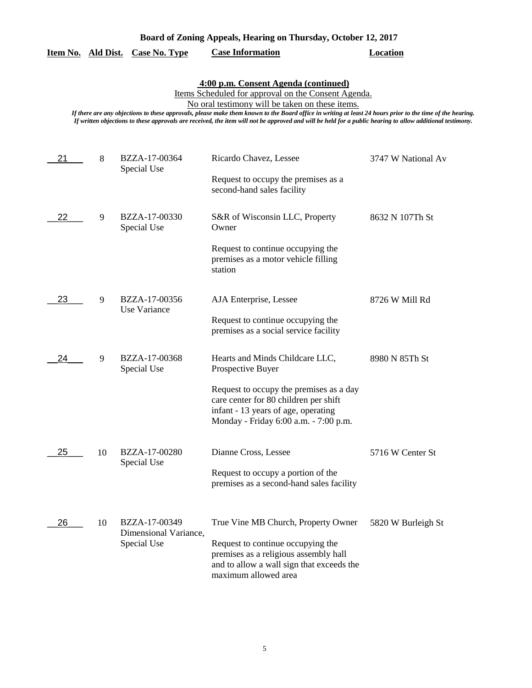|  |  | Board of Zoning Appeals, Hearing on Thursday, October 12, 2017 |  |
|--|--|----------------------------------------------------------------|--|
|  |  |                                                                |  |

## **Item No. Ald Dist. Case No. Type Case Information Location**

## **4:00 p.m. Consent Agenda (continued)**

Items Scheduled for approval on the Consent Agenda.

No oral testimony will be taken on these items.

| 21 | 8  | BZZA-17-00364<br>Special Use           | Ricardo Chavez, Lessee                                                                                                                                           | 3747 W National Av |
|----|----|----------------------------------------|------------------------------------------------------------------------------------------------------------------------------------------------------------------|--------------------|
|    |    |                                        | Request to occupy the premises as a<br>second-hand sales facility                                                                                                |                    |
| 22 | 9  | BZZA-17-00330<br>Special Use           | S&R of Wisconsin LLC, Property<br>Owner                                                                                                                          | 8632 N 107Th St    |
|    |    |                                        | Request to continue occupying the<br>premises as a motor vehicle filling<br>station                                                                              |                    |
| 23 | 9  | BZZA-17-00356<br>Use Variance          | AJA Enterprise, Lessee                                                                                                                                           | 8726 W Mill Rd     |
|    |    |                                        | Request to continue occupying the<br>premises as a social service facility                                                                                       |                    |
| 24 | 9  | BZZA-17-00368<br>Special Use           | Hearts and Minds Childcare LLC,<br>Prospective Buyer                                                                                                             | 8980 N 85Th St     |
|    |    |                                        | Request to occupy the premises as a day<br>care center for 80 children per shift<br>infant - 13 years of age, operating<br>Monday - Friday 6:00 a.m. - 7:00 p.m. |                    |
| 25 | 10 | BZZA-17-00280<br>Special Use           | Dianne Cross, Lessee                                                                                                                                             | 5716 W Center St   |
|    |    |                                        | Request to occupy a portion of the<br>premises as a second-hand sales facility                                                                                   |                    |
| 26 | 10 | BZZA-17-00349<br>Dimensional Variance, | True Vine MB Church, Property Owner                                                                                                                              | 5820 W Burleigh St |
|    |    | Special Use                            | Request to continue occupying the<br>premises as a religious assembly hall<br>and to allow a wall sign that exceeds the<br>maximum allowed area                  |                    |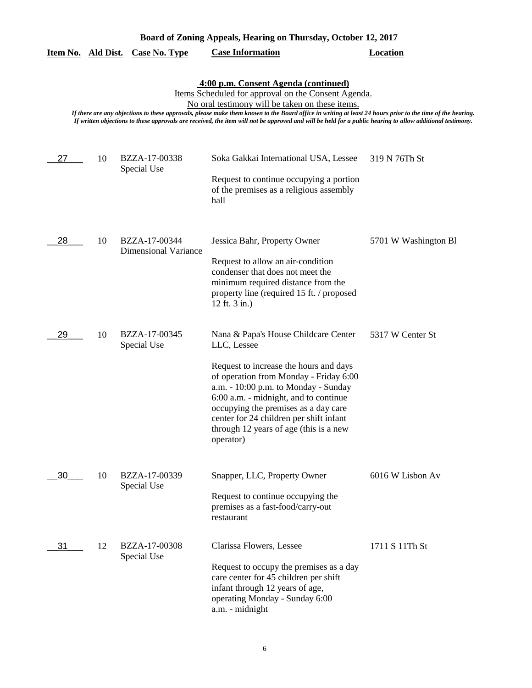|                                                                                                                                                                                                                                                                                                                                                                                                                                                                          |    | <u>Item No. Ald Dist. Case No. Type</u>      | <b>Case Information</b>                                                                                                                                                                                                                                                                                                                                            | <b>Location</b>      |  |  |  |
|--------------------------------------------------------------------------------------------------------------------------------------------------------------------------------------------------------------------------------------------------------------------------------------------------------------------------------------------------------------------------------------------------------------------------------------------------------------------------|----|----------------------------------------------|--------------------------------------------------------------------------------------------------------------------------------------------------------------------------------------------------------------------------------------------------------------------------------------------------------------------------------------------------------------------|----------------------|--|--|--|
| 4:00 p.m. Consent Agenda (continued)<br>Items Scheduled for approval on the Consent Agenda.<br>No oral testimony will be taken on these items.<br>If there are any objections to these approvals, please make them known to the Board office in writing at least 24 hours prior to the time of the hearing.<br>If written objections to these approvals are received, the item will not be approved and will be held for a public hearing to allow additional testimony. |    |                                              |                                                                                                                                                                                                                                                                                                                                                                    |                      |  |  |  |
| 27                                                                                                                                                                                                                                                                                                                                                                                                                                                                       | 10 | BZZA-17-00338<br>Special Use                 | Soka Gakkai International USA, Lessee<br>Request to continue occupying a portion<br>of the premises as a religious assembly<br>hall                                                                                                                                                                                                                                | 319 N 76Th St        |  |  |  |
| 28                                                                                                                                                                                                                                                                                                                                                                                                                                                                       | 10 | BZZA-17-00344<br><b>Dimensional Variance</b> | Jessica Bahr, Property Owner<br>Request to allow an air-condition<br>condenser that does not meet the<br>minimum required distance from the<br>property line (required 15 ft. / proposed<br>12 ft. 3 in.)                                                                                                                                                          | 5701 W Washington Bl |  |  |  |
| 29                                                                                                                                                                                                                                                                                                                                                                                                                                                                       | 10 | BZZA-17-00345<br>Special Use                 | Nana & Papa's House Childcare Center<br>LLC, Lessee<br>Request to increase the hours and days<br>of operation from Monday - Friday 6:00<br>a.m. - 10:00 p.m. to Monday - Sunday<br>6:00 a.m. - midnight, and to continue<br>occupying the premises as a day care<br>center for 24 children per shift infant<br>through 12 years of age (this is a new<br>operator) | 5317 W Center St     |  |  |  |
| 30                                                                                                                                                                                                                                                                                                                                                                                                                                                                       | 10 | BZZA-17-00339<br>Special Use                 | Snapper, LLC, Property Owner<br>Request to continue occupying the<br>premises as a fast-food/carry-out<br>restaurant                                                                                                                                                                                                                                               | 6016 W Lisbon Av     |  |  |  |
| 31                                                                                                                                                                                                                                                                                                                                                                                                                                                                       | 12 | BZZA-17-00308<br>Special Use                 | Clarissa Flowers, Lessee<br>Request to occupy the premises as a day<br>care center for 45 children per shift<br>infant through 12 years of age,<br>operating Monday - Sunday 6:00<br>a.m. - midnight                                                                                                                                                               | 1711 S 11Th St       |  |  |  |

**Board of Zoning Appeals, Hearing on Thursday, October 12, 2017**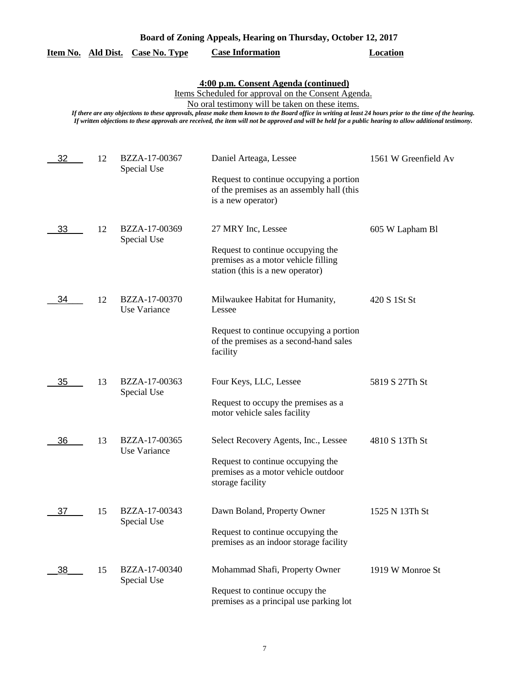|  |  | Board of Zoning Appeals, Hearing on Thursday, October 12, 2017 |  |
|--|--|----------------------------------------------------------------|--|
|  |  |                                                                |  |

|  |  | Item No. Ald Dist. Case No. Type | <b>Case Information</b> | Location |
|--|--|----------------------------------|-------------------------|----------|
|--|--|----------------------------------|-------------------------|----------|

**4:00 p.m. Consent Agenda (continued)**

Items Scheduled for approval on the Consent Agenda.

No oral testimony will be taken on these items.

| 32 | 12 | BZZA-17-00367<br>Special Use  | Daniel Arteaga, Lessee                                                                                       | 1561 W Greenfield Av |
|----|----|-------------------------------|--------------------------------------------------------------------------------------------------------------|----------------------|
|    |    |                               | Request to continue occupying a portion<br>of the premises as an assembly hall (this<br>is a new operator)   |                      |
| 33 | 12 | BZZA-17-00369<br>Special Use  | 27 MRY Inc, Lessee                                                                                           | 605 W Lapham Bl      |
|    |    |                               | Request to continue occupying the<br>premises as a motor vehicle filling<br>station (this is a new operator) |                      |
| 34 | 12 | BZZA-17-00370<br>Use Variance | Milwaukee Habitat for Humanity,<br>Lessee                                                                    | 420 S 1St St         |
|    |    |                               | Request to continue occupying a portion<br>of the premises as a second-hand sales<br>facility                |                      |
| 35 | 13 | BZZA-17-00363<br>Special Use  | Four Keys, LLC, Lessee                                                                                       | 5819 S 27Th St       |
|    |    |                               | Request to occupy the premises as a<br>motor vehicle sales facility                                          |                      |
| 36 | 13 | BZZA-17-00365<br>Use Variance | Select Recovery Agents, Inc., Lessee                                                                         | 4810 S 13Th St       |
|    |    |                               | Request to continue occupying the<br>premises as a motor vehicle outdoor<br>storage facility                 |                      |
| 37 | 15 | BZZA-17-00343<br>Special Use  | Dawn Boland, Property Owner                                                                                  | 1525 N 13Th St       |
|    |    |                               | Request to continue occupying the<br>premises as an indoor storage facility                                  |                      |
| 38 | 15 | BZZA-17-00340<br>Special Use  | Mohammad Shafi, Property Owner                                                                               | 1919 W Monroe St     |
|    |    |                               | Request to continue occupy the<br>premises as a principal use parking lot                                    |                      |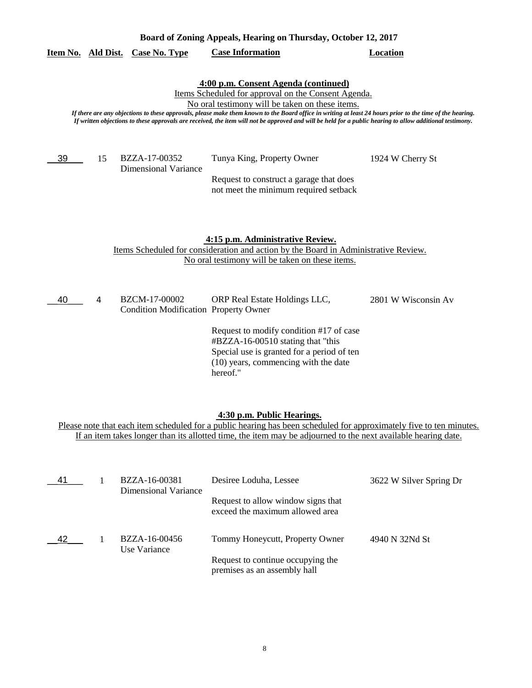|    |    | Item No. Ald Dist. Case No. Type                              | <b>Case Information</b>                                                                                                                                                                                                                                                                                                                                                                                                                                                  | <b>Location</b>     |
|----|----|---------------------------------------------------------------|--------------------------------------------------------------------------------------------------------------------------------------------------------------------------------------------------------------------------------------------------------------------------------------------------------------------------------------------------------------------------------------------------------------------------------------------------------------------------|---------------------|
|    |    |                                                               | 4:00 p.m. Consent Agenda (continued)<br>Items Scheduled for approval on the Consent Agenda.<br>No oral testimony will be taken on these items.<br>If there are any objections to these approvals, please make them known to the Board office in writing at least 24 hours prior to the time of the hearing.<br>If written objections to these approvals are received, the item will not be approved and will be held for a public hearing to allow additional testimony. |                     |
| 39 | 15 | BZZA-17-00352<br><b>Dimensional Variance</b>                  | Tunya King, Property Owner<br>Request to construct a garage that does<br>not meet the minimum required setback                                                                                                                                                                                                                                                                                                                                                           | 1924 W Cherry St    |
|    |    |                                                               | 4:15 p.m. Administrative Review.<br>Items Scheduled for consideration and action by the Board in Administrative Review.<br>No oral testimony will be taken on these items.                                                                                                                                                                                                                                                                                               |                     |
| 40 | 4  | BZCM-17-00002<br><b>Condition Modification Property Owner</b> | ORP Real Estate Holdings LLC,<br>Request to modify condition #17 of case<br>#BZZA-16-00510 stating that "this<br>Special use is granted for a period of ten<br>(10) years, commencing with the date<br>hereof."                                                                                                                                                                                                                                                          | 2801 W Wisconsin Av |
|    |    |                                                               | 4:30 p.m. Public Hearings.                                                                                                                                                                                                                                                                                                                                                                                                                                               |                     |

**Board of Zoning Appeals, Hearing on Thursday, October 12, 2017** 

Please note that each item scheduled for a public hearing has been scheduled for approximately five to ten minutes. If an item takes longer than its allotted time, the item may be adjourned to the next available hearing date.

| -41 | BZZA-16-00381<br>Dimensional Variance | Desiree Loduha, Lessee                                                | 3622 W Silver Spring Dr |
|-----|---------------------------------------|-----------------------------------------------------------------------|-------------------------|
|     |                                       | Request to allow window signs that<br>exceed the maximum allowed area |                         |
| 42  | BZZA-16-00456<br>Use Variance         | Tommy Honeycutt, Property Owner                                       | 4940 N 32Nd St          |
|     |                                       | Request to continue occupying the<br>premises as an assembly hall     |                         |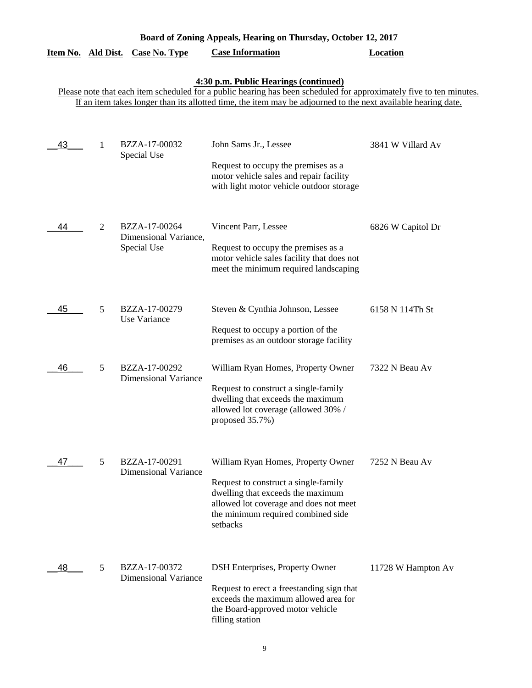| Board of Zoning Appeals, Hearing on Thursday, October 12, 2017 |   |                                                       |                                                                                                                                                                                                                                                                               |                    |  |
|----------------------------------------------------------------|---|-------------------------------------------------------|-------------------------------------------------------------------------------------------------------------------------------------------------------------------------------------------------------------------------------------------------------------------------------|--------------------|--|
| Item No. Ald Dist.                                             |   | <b>Case No. Type</b>                                  | <b>Case Information</b>                                                                                                                                                                                                                                                       | <b>Location</b>    |  |
|                                                                |   |                                                       | 4:30 p.m. Public Hearings (continued)<br>Please note that each item scheduled for a public hearing has been scheduled for approximately five to ten minutes.<br>If an item takes longer than its allotted time, the item may be adjourned to the next available hearing date. |                    |  |
| 43                                                             | 1 | BZZA-17-00032<br>Special Use                          | John Sams Jr., Lessee<br>Request to occupy the premises as a<br>motor vehicle sales and repair facility<br>with light motor vehicle outdoor storage                                                                                                                           | 3841 W Villard Av  |  |
| 44                                                             | 2 | BZZA-17-00264<br>Dimensional Variance,<br>Special Use | Vincent Parr, Lessee<br>Request to occupy the premises as a<br>motor vehicle sales facility that does not<br>meet the minimum required landscaping                                                                                                                            | 6826 W Capitol Dr  |  |
| 45                                                             | 5 | BZZA-17-00279<br>Use Variance                         | Steven & Cynthia Johnson, Lessee<br>Request to occupy a portion of the<br>premises as an outdoor storage facility                                                                                                                                                             | 6158 N 114Th St    |  |
| 46                                                             | 5 | BZZA-17-00292<br><b>Dimensional Variance</b>          | William Ryan Homes, Property Owner<br>Request to construct a single-family<br>dwelling that exceeds the maximum<br>allowed lot coverage (allowed 30% /<br>proposed 35.7%)                                                                                                     | 7322 N Beau Av     |  |
| 47                                                             | 5 | BZZA-17-00291<br><b>Dimensional Variance</b>          | William Ryan Homes, Property Owner<br>Request to construct a single-family<br>dwelling that exceeds the maximum<br>allowed lot coverage and does not meet<br>the minimum required combined side<br>setbacks                                                                   | 7252 N Beau Av     |  |
| 48                                                             | 5 | BZZA-17-00372<br><b>Dimensional Variance</b>          | DSH Enterprises, Property Owner<br>Request to erect a freestanding sign that<br>exceeds the maximum allowed area for<br>the Board-approved motor vehicle<br>filling station                                                                                                   | 11728 W Hampton Av |  |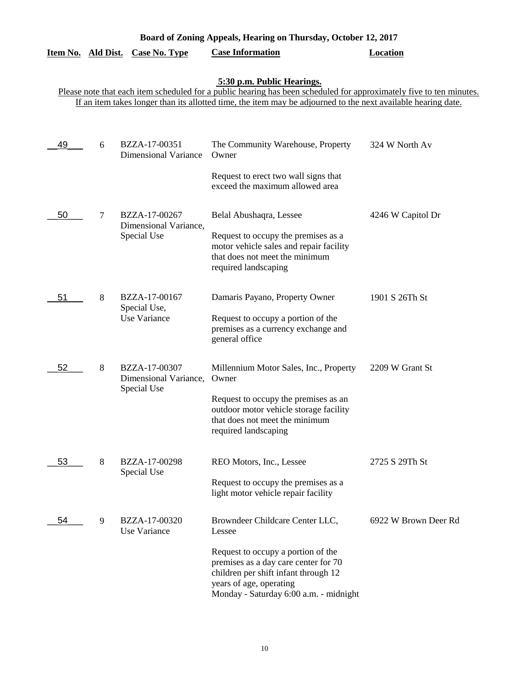| Board of Zoning Appeals, Hearing on Thursday, October 12, 2017 |   |                                                       |                                                                                                                                                                                                                                                                    |                      |
|----------------------------------------------------------------|---|-------------------------------------------------------|--------------------------------------------------------------------------------------------------------------------------------------------------------------------------------------------------------------------------------------------------------------------|----------------------|
| Item No. Ald Dist.                                             |   | <b>Case No. Type</b>                                  | <b>Case Information</b>                                                                                                                                                                                                                                            | <b>Location</b>      |
|                                                                |   |                                                       | 5:30 p.m. Public Hearings.<br>Please note that each item scheduled for a public hearing has been scheduled for approximately five to ten minutes.<br>If an item takes longer than its allotted time, the item may be adjourned to the next available hearing date. |                      |
| 49                                                             | 6 | BZZA-17-00351<br><b>Dimensional Variance</b>          | The Community Warehouse, Property<br>Owner<br>Request to erect two wall signs that<br>exceed the maximum allowed area                                                                                                                                              | 324 W North Av       |
| 50                                                             | 7 | BZZA-17-00267<br>Dimensional Variance,<br>Special Use | Belal Abushaqra, Lessee<br>Request to occupy the premises as a<br>motor vehicle sales and repair facility<br>that does not meet the minimum<br>required landscaping                                                                                                | 4246 W Capitol Dr    |
| 51                                                             | 8 | BZZA-17-00167<br>Special Use,<br>Use Variance         | Damaris Payano, Property Owner<br>Request to occupy a portion of the<br>premises as a currency exchange and<br>general office                                                                                                                                      | 1901 S 26Th St       |
| 52                                                             | 8 | BZZA-17-00307<br>Dimensional Variance,<br>Special Use | Millennium Motor Sales, Inc., Property<br>Owner<br>Request to occupy the premises as an<br>outdoor motor vehicle storage facility<br>that does not meet the minimum<br>required landscaping                                                                        | 2209 W Grant St      |
| 53                                                             | 8 | BZZA-17-00298<br>Special Use                          | REO Motors, Inc., Lessee<br>Request to occupy the premises as a<br>light motor vehicle repair facility                                                                                                                                                             | 2725 S 29Th St       |
| 54                                                             | 9 | BZZA-17-00320<br>Use Variance                         | Browndeer Childcare Center LLC,<br>Lessee<br>Request to occupy a portion of the<br>premises as a day care center for 70<br>children per shift infant through 12<br>years of age, operating<br>Monday - Saturday 6:00 a.m. - midnight                               | 6922 W Brown Deer Rd |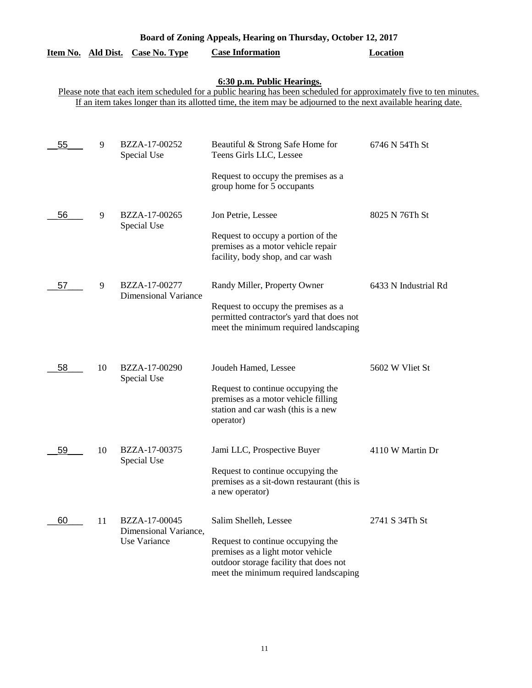| Board of Zoning Appeals, Hearing on Thursday, October 12, 2017 |                  |                                              |                                                                                                                                                           |                      |  |
|----------------------------------------------------------------|------------------|----------------------------------------------|-----------------------------------------------------------------------------------------------------------------------------------------------------------|----------------------|--|
| <u>Item No.</u>                                                | <b>Ald Dist.</b> | <b>Case No. Type</b>                         | <b>Case Information</b>                                                                                                                                   | <b>Location</b>      |  |
|                                                                |                  |                                              | 6:30 p.m. Public Hearings.<br>Please note that each item scheduled for a public hearing has been scheduled for approximately five to ten minutes.         |                      |  |
|                                                                |                  |                                              | If an item takes longer than its allotted time, the item may be adjourned to the next available hearing date.                                             |                      |  |
|                                                                |                  |                                              |                                                                                                                                                           |                      |  |
| 55                                                             | 9                | BZZA-17-00252<br>Special Use                 | Beautiful & Strong Safe Home for<br>Teens Girls LLC, Lessee                                                                                               | 6746 N 54Th St       |  |
|                                                                |                  |                                              | Request to occupy the premises as a<br>group home for 5 occupants                                                                                         |                      |  |
| 56                                                             | 9                | BZZA-17-00265<br>Special Use                 | Jon Petrie, Lessee                                                                                                                                        | 8025 N 76Th St       |  |
|                                                                |                  |                                              | Request to occupy a portion of the<br>premises as a motor vehicle repair<br>facility, body shop, and car wash                                             |                      |  |
| 57                                                             | 9                | BZZA-17-00277<br><b>Dimensional Variance</b> | Randy Miller, Property Owner<br>Request to occupy the premises as a                                                                                       | 6433 N Industrial Rd |  |
|                                                                |                  |                                              | permitted contractor's yard that does not<br>meet the minimum required landscaping                                                                        |                      |  |
| 58                                                             | 10               | BZZA-17-00290<br>Special Use                 | Joudeh Hamed, Lessee                                                                                                                                      | 5602 W Vliet St      |  |
|                                                                |                  |                                              | Request to continue occupying the<br>premises as a motor vehicle filling                                                                                  |                      |  |
|                                                                |                  |                                              | station and car wash (this is a new<br>operator)                                                                                                          |                      |  |
| 59                                                             | 10               | BZZA-17-00375<br>Special Use                 | Jami LLC, Prospective Buyer                                                                                                                               | 4110 W Martin Dr     |  |
|                                                                |                  |                                              | Request to continue occupying the<br>premises as a sit-down restaurant (this is<br>a new operator)                                                        |                      |  |
| 60                                                             | 11               | BZZA-17-00045<br>Dimensional Variance,       | Salim Shelleh, Lessee                                                                                                                                     | 2741 S 34Th St       |  |
|                                                                |                  | Use Variance                                 | Request to continue occupying the<br>premises as a light motor vehicle<br>outdoor storage facility that does not<br>meet the minimum required landscaping |                      |  |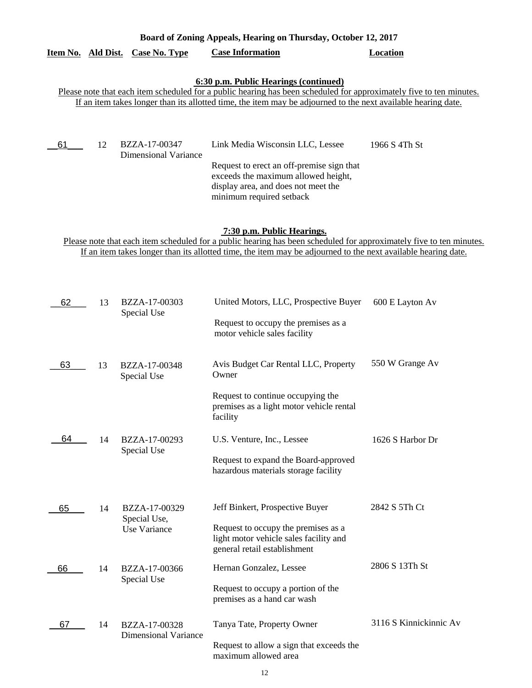| Board of Zoning Appeals, Hearing on Thursday, October 12, 2017                                                                                                                                                                                                     |    |                                              |                                                                                                                                                                                                                                                                               |               |  |
|--------------------------------------------------------------------------------------------------------------------------------------------------------------------------------------------------------------------------------------------------------------------|----|----------------------------------------------|-------------------------------------------------------------------------------------------------------------------------------------------------------------------------------------------------------------------------------------------------------------------------------|---------------|--|
| Item No. Ald Dist.                                                                                                                                                                                                                                                 |    | <b>Case No. Type</b>                         | <b>Case Information</b>                                                                                                                                                                                                                                                       | Location      |  |
|                                                                                                                                                                                                                                                                    |    |                                              | 6:30 p.m. Public Hearings (continued)<br>Please note that each item scheduled for a public hearing has been scheduled for approximately five to ten minutes.<br>If an item takes longer than its allotted time, the item may be adjourned to the next available hearing date. |               |  |
| 61                                                                                                                                                                                                                                                                 | 12 | BZZA-17-00347<br><b>Dimensional Variance</b> | Link Media Wisconsin LLC, Lessee<br>Request to erect an off-premise sign that<br>exceeds the maximum allowed height,<br>display area, and does not meet the<br>minimum required setback                                                                                       | 1966 S 4Th St |  |
| 7:30 p.m. Public Hearings.<br>Please note that each item scheduled for a public hearing has been scheduled for approximately five to ten minutes.<br>If an item takes longer than its allotted time, the item may be adjourned to the next available hearing date. |    |                                              |                                                                                                                                                                                                                                                                               |               |  |

| 62 | 13 | BZZA-17-00303<br>Special Use  | United Motors, LLC, Prospective Buyer                                                                         | 600 E Layton Av        |
|----|----|-------------------------------|---------------------------------------------------------------------------------------------------------------|------------------------|
|    |    |                               | Request to occupy the premises as a<br>motor vehicle sales facility                                           |                        |
| 63 | 13 | BZZA-17-00348<br>Special Use  | Avis Budget Car Rental LLC, Property<br>Owner                                                                 | 550 W Grange Av        |
|    |    |                               | Request to continue occupying the<br>premises as a light motor vehicle rental<br>facility                     |                        |
| 64 | 14 | BZZA-17-00293                 | U.S. Venture, Inc., Lessee                                                                                    | 1626 S Harbor Dr       |
|    |    | Special Use                   | Request to expand the Board-approved<br>hazardous materials storage facility                                  |                        |
| 65 | 14 | BZZA-17-00329<br>Special Use, | Jeff Binkert, Prospective Buyer                                                                               | 2842 S 5Th Ct          |
|    |    | Use Variance                  | Request to occupy the premises as a<br>light motor vehicle sales facility and<br>general retail establishment |                        |
| 66 | 14 | BZZA-17-00366                 | Hernan Gonzalez, Lessee                                                                                       | 2806 S 13Th St         |
|    |    | Special Use                   | Request to occupy a portion of the<br>premises as a hand car wash                                             |                        |
| 67 | 14 | BZZA-17-00328                 | Tanya Tate, Property Owner                                                                                    | 3116 S Kinnickinnic Av |
|    |    | <b>Dimensional Variance</b>   | Request to allow a sign that exceeds the<br>maximum allowed area                                              |                        |